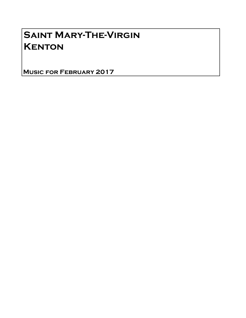## Saint Mary-The-Virgin **KENTON**

Music for February 2017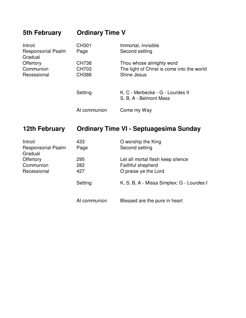| 5th February                         | <b>Ordinary Time V</b> |                                                            |  |
|--------------------------------------|------------------------|------------------------------------------------------------|--|
| Introit                              | <b>CH301</b>           | Immortal, invisible                                        |  |
| <b>Responsorial Psalm</b><br>Gradual | Page                   | Second setting                                             |  |
| Offertory                            | <b>CH738</b>           | Thou whose almighty word                                   |  |
| Communion                            | CH703                  | The light of Christ is come into the world                 |  |
| Recessional                          | <b>CH388</b>           | Shine Jesus                                                |  |
|                                      | Setting                | K, C - Merbecke - G - Lourdes II<br>S, B, A - Belmont Mass |  |
|                                      | At communion           | Come my Way                                                |  |

## **12th February Ordinary Time VI - Septuagesima Sunday**

| Introit                              | 433          | O worship the King                        |
|--------------------------------------|--------------|-------------------------------------------|
| <b>Responsorial Psalm</b><br>Gradual | Page         | Second setting                            |
| <b>Offertory</b>                     | 295          | Let all mortal flesh keep silence         |
| Communion                            | 282          | Faithful shepherd                         |
| Recessional                          | 427          | O praise ye the Lord                      |
|                                      | Setting      | K, S, B, A - Missa Simplex; G - Lourdes I |
|                                      | At communion | Blessed are the pure in heart             |